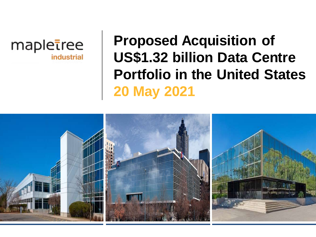

# **Proposed Acquisition of US\$1.32 billion Data Centre Portfolio in the United States 20 May 2021**

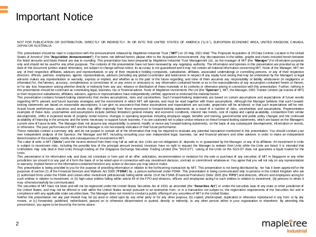### Important Notice

NOT FOR PUBLICATION OR DISTRIBUTION, DIRECTLY OR INDIRECTLY, IN OR INTO THE UNITED STATES OF AMERICA ("U.S."), EUROPEAN ECONOMIC AREA, UNITED KINGDOM, CANADA, JAPAN OR AUSTRALIA

This presentation should be read in conjunction with the announcement released by Mapletree Industrial Trust ("MIT") on 20 May 2021 titled "The Proposed Acquisition of 29 Data Centres Located in the United States of America" (the "**Acquisition Announcement**"). For terms not defined herein, please refer to the Acquisition Announcement. Any discrepancies in the tables, graphs and charts included herein between the listed amounts and totals thereof are due to rounding. This presentation has been prepared by Mapletree Industrial Trust Management Ltd., as the manager of MIT (the "**Manager**")f or inf ormation purposes only and should not be usedfor any other purposes. The contents of this presentation have not been reviewed by any regulatory authority. The information and opinions in this presentation are provided as at the date of this document (unless stated otherwise), are subject to change without notice, its accuracy is not guaranteed and it may not contain all material information concerning MIT. None of the Manager, MIT nor any of their respective affiliates, advisors and representatives or any of their respective holding companies, subsidiaries, affiliates, associated undertakings or controlling persons, or any of their respective directors, officers, partners, employees, agents, representatives, advisers (including any global co-ordinator and bookrunner in respect of any equity fund raising that may be undertaken by the Manager) or legal advisers makes any representation or warranty, express or implied, and whether as to the past or the future regarding, and none of them assumes any responsibility or liability whatsoever (in negligence or otherwise) for, thef airness, accuracy, completeness or correctness of, or any errors or omissions in, any information contained herein or as to the reasonableness of any assumption contained herein or therein, or for any loss howsoever arising whether directly or indirectly from any use, reliance or distribution of these materials or its contents or otherwise arising in connection with this presentation. Further, nothing in this presentation should be construed as constituting legal, business, tax or financial advice. None of Mapletree Investments Pte Ltd (the "**Sponsor**"), MIT, the Manager, DBS Trustee Limited (as trustee of MIT) or their respective subsidiaries, affiliates, advisors, agents or representatives have independently verified, approved or endorsed the material herein.

This presentation contains forward-looking statements that involve assumptions, risks and uncertainties. Such forward-looking statements are based on certain assumptions and expectations of future events regarding MIT's present and future business strategies and the environment in which MIT will operate, and must be read together with those assumptions. Although the Manager believes that such forwardlooking statements are based on reasonable assumptions, it can give no assurance that these assumptions and expectations are accurate, projections will be achieved, or that such expectations will be met. Actual future performance, outcomes and results may differ materially from those expressed in forward-looking statements as a result of a number of risks, uncertainties and assumptions. Representative examples of these risks, uncertainties and assumptions include (without limitation) general industry and economic conditions, interest rate trends, cost of capital and capital av ailability, competition from similar dev elopments, shifts in expected levels of property rental income, changes in operating expenses including employee wages, benefits and training, governmental and public policy changes and the continued av ailability of financing in the amounts and the terms necessary to support future business. You are cautioned not to place undue reliance on thesef orward-boking statements, which are based on the Manager's current view of future events. The Manager does not assume any responsibility to amend, modify or revise any forward-looking statements, on the basis of any subsequent developments, information or events, or otherwise. The past performanceof MIT and the Manager is not necessarily indicative of their future performance.

These materials contain a summary only and do not purport to contain all of the information that may be required to evaluate any potential transaction mentioned in this presentation. You should conduct y our own independent analysis of the Sponsor, the Manager and MIT, including consulting your own independent legal, business, tax and financial advisers and other advisers in order to make an independent determination of thesuitability, merits and consequences of investment in MIT.

The value of units in MIT ("Units") and the income derived from them may fall as well as rise. Units are not obligations of, deposits in, or quaranteed by the Manager, or any of its affiliates. An investment in Units is subject to investment risks, including the possible loss of the principal amount invested. Investors have no right to request the Manager to redeem their Units while the Units are listed. It is intended that Unitholders may only deal in their Units through trading on the Singapore Exchange Securities Trading Limited (the "SGX-ST") Listing of the Units on the SGX-ST does not quarantee a liquid market for the Units.

This presentation is for information only and does not constitute or form part of an offer, solicitation, recommendation or invitation for the sale or purchase of any securities of MT in Singapore or any other jurisdiction nor should it or any part of it form the basis of or be relied upon in connection with any investment decision, contract or commitment whatsoev er. You agree that you will not rely on any representation or warranty implied herein or the informationcontained hereinin any action or decision you may takeor make.

This presentation is being provided to you for the purpose of providing information in relation to the forthcoming transaction by MIT. This presentation is not being distributed by, nor has it been approved for the purposes of section 21 of the Financial Services and Markets Act 2000 ("FSMA") by, a person authorised under FSMA. This presentation is being communicated only to persons in the United Kingdom who are (i) authorised firms under the FSMA and certain other investment prof essionals falling within article 19 of the FSMA (Financial Promotion) Order 2005 (the "**FPO**") and directors, officers and employees actingfor such entities in relation to investment; or (ii) high value entities falling within article 49 of the FPO and directors, officers and employees acting for such entities in relation to investment; (iii) persons to whom it may otherwiselawfully be communicated.

The securities of MT have not been and will not be registered under the United States Securities Act of 1933, as amended (the "Securities Act") or under the securities laws of any state or other jurisdiction of the United States, and may not be offered or sold within the United States except pursuant to an exemption from, or in a transaction not subject to, the registration requirements of the Securities Act and in compliance with any applicable state securities laws. The Manager does not intend to conduct a public offeringof any securities of MIT in the United States.

Neither this presentation nor any part thereof may be (a) used or relied upon by any other party or for any other purpose, (b) copied, photocopied, duplicated or otherwise reproduced in any form or by any means, or (c) forwarded, published, redistributed, passed on or otherwise disseminated or quoted, directly or indirectly, to any other person either in your organisation or elsewhere. By attending this presentation, you agree to be bound by the terms above.

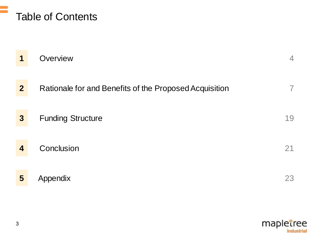

|                         | Overview                                               | 4  |
|-------------------------|--------------------------------------------------------|----|
| $\mathbf{2}$            | Rationale for and Benefits of the Proposed Acquisition |    |
| $\boldsymbol{3}$        | <b>Funding Structure</b>                               | 19 |
| $\overline{\mathbf{A}}$ | Conclusion                                             | 21 |
| 5                       | Appendix                                               | 23 |

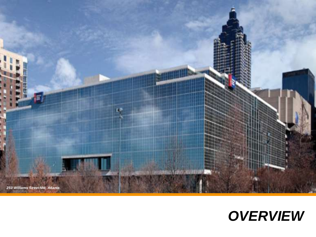

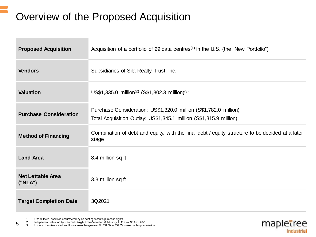# Overview of the Proposed Acquisition

| <b>Proposed Acquisition</b>         | Acquisition of a portfolio of 29 data centres <sup><math>(1)</math></sup> in the U.S. (the "New Portfolio")                            |
|-------------------------------------|----------------------------------------------------------------------------------------------------------------------------------------|
| <b>Vendors</b>                      | Subsidiaries of Sila Realty Trust, Inc.                                                                                                |
| <b>Valuation</b>                    | US\$1,335.0 million <sup>(2)</sup> (S\$1,802.3 million) <sup>(3)</sup>                                                                 |
| <b>Purchase Consideration</b>       | Purchase Consideration: US\$1,320.0 million (S\$1,782.0 million)<br>Total Acquisition Outlay: US\$1,345.1 million (S\$1,815.9 million) |
| <b>Method of Financing</b>          | Combination of debt and equity, with the final debt / equity structure to be decided at a later<br>stage                               |
| <b>Land Area</b>                    | 8.4 million sq ft                                                                                                                      |
| <b>Net Lettable Area</b><br>("NLA") | 3.3 million sq ft                                                                                                                      |
| <b>Target Completion Date</b>       | 3Q2021                                                                                                                                 |

1 One of the 29 assets is encumbered by an existing tenant's purchase rights<br>2 Independent valuation by Newmark Knight Frank Valuation & Advisory, LLC

2 Independent valuation by Newmark Knight Frank Valuation & Advisory, LLC as at 30 April 2021

5 3 Unless otherwise stated, an illustrative exchange rate of US\$1.00 to S\$1.35 is used in this presentation

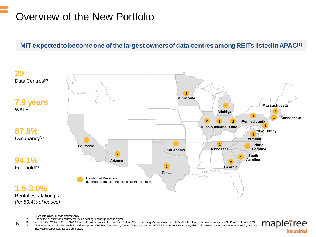# Overview of the New Portfolio

### **MIT expected to become one of the largest owners of data centres among REITs listed in APAC(1)**



1 By Assets Under Management ("AUM")

6

- 2 One of the 29 assets is encumbered by an existing tenant's purchase rights
- 3 Includes 250 Williams Street NW, Atlanta with an occupancy of 63.5% as at 1 June 2021. Excluding 250 Williams Street NW, Atlanta, New Portfolio occupancy is at 98.4% as at 1 June 2021

All Properties are sited on freehold land, except for 2005 East Technology Circle, Tempe and part of 250 Williams Street NW, Atlanta, which will have remaining land tenures of 61.6 years and 46.7 years respectively as at 1 June 2021

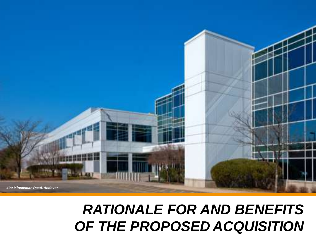# *RATIONALE FOR AND BENEFITS OF THE PROPOSED ACQUISITION*

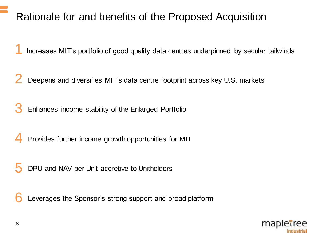### Rationale for and benefits of the Proposed Acquisition

Increases MIT's portfolio of good quality data centres underpinned by secular tailwinds 1

Deepens and diversifies MIT's data centre footprint across key U.S. markets 2

Enhances income stability of the Enlarged Portfolio 3

Provides further income growth opportunities for MIT 4

DPU and NAV per Unit accretive to Unitholders 5

Leverages the Sponsor's strong support and broad platform 6

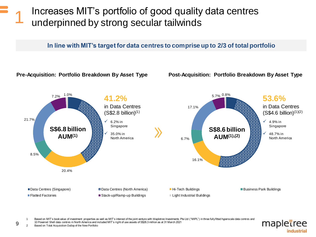### Increases MIT's portfolio of good quality data centres underpinned by strong secular tailwinds 1

#### **In line with MIT's target for data centres to comprise up to 2/3 of total portfolio**



Based on MIT's book value of investment properties as well as MIT's interest of the joint venture with Mapletree Investments Pte Ltd ("MIPL") in three fully fitted hyperscale data centres and 10 Powered Shell data centres in North America and included MIT's right of use assets of S\$26.3 million as at 31 March 2021



9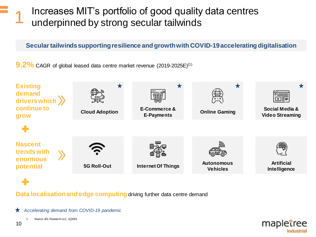### Increases MIT's portfolio of good quality data centres underpinned by strong secular tailwinds

### **Secular tailwinds supporting resilience and growth with COVID-19 accelerating digitalisation**

**9.2%** CAGR of global leased data centre market revenue (2019-2025E)<sup>(1)</sup>



**Data localisationand edge computing** driving further data centre demand

*Accelerating demand from COVID-19 pandemic*

Source: 451 Research LLC, 1Q2021

1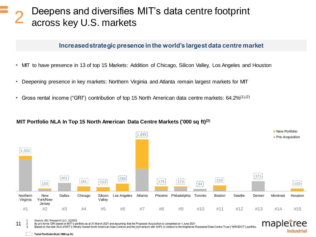### Deepens and diversifies MIT's data centre footprint across key U.S. markets 2

#### **Increased strategic presence in the world's largest data centre market**

- MIT to have presence in 13 of top 15 Markets: Addition of Chicago, Silicon Valley, Los Angeles and Houston
- Deepening presence in key markets: Northern Virginia and Atlanta remain largest markets for MIT
- Gross rental income ("GRI") contribution of top 15 North American data centre markets: 64.2%<sup>(1),(2)</sup>

#### **MIT Portfolio NLA In Top 15 North American Data Centre Markets ('000 sq ft) (3)**



1 Source: 451 Research LLC, 1Q2021

11

2 By *pro forma* GRI based on MIT's portfolio as at 31 March 2021 and assuming that the Proposed Acquisition is completed on 1 June 2021

Based on the total NLA of MIT's Wholly-Owned North American Data Centres and the joint venture with MIPL in relation to the Mapletree Rosewood Data Centre Trust ("MRODCT") portfolio



**Total Portfolio NLA ('000 sq ft)**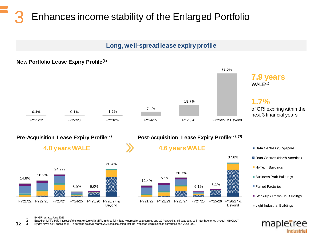### Enhances income stability of the Enlarged Portfolio 3

### **Long, well-spread lease expiry profile**



mapletree

industrial

1 By GRI as at 1 June 2021

2 Based on MIT's 50% interest of the joint venture with MIPL in three fully fitted hyperscale data centres and 10 Powered Shell data centres in North America through MRODCT

12 3 By *pro forma* GRI based on MIT's portfolio as at 31 March 2021 and assuming that the Proposed Acquisition is completed on 1 June 2021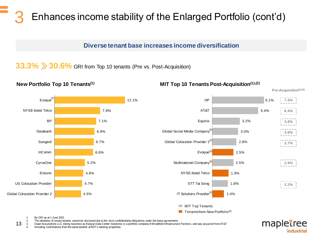### Enhances income stability of the Enlarged Portfolio (cont'd) 3

#### **Diverse tenant base increases income diversification**

33.3% > 30.6% GRI from Top 10 tenants (Pre vs. Post-Acquisition)

![](_page_12_Figure_3.jpeg)

#### **New Portfolio Top 10 Tenants(1) MIT Top 10 Tenants Post-Acquisition(1),(2)**

![](_page_12_Figure_6.jpeg)

**Pre-Acquisition(1),(2)**

mapletree

industrial

1 By GRI as at 1 June 2021

2 The identities of certain tenants cannot be disclosed due to the strict confidentiality obligations under the lease agreements

13 3 Dawn Acquisitions LLC (doing business as Evoque Data Center Solutions) is a portfolio company of Brookfield Infrastructure Partners, and was acquired from AT&T

4 Including contributions from the same tenants at MIT's existing properties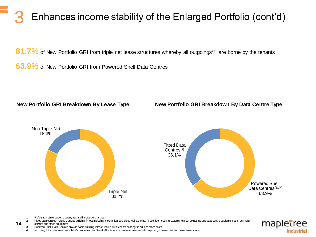# Enhances income stability of the Enlarged Portfolio (cont'd)

81.7% of New Portfolio GRI from triple net lease structures whereby all outgoings<sup>(1)</sup> are borne by the tenants

**63.9%** of New Portfolio GRI from Powered Shell Data Centres

#### **New Portfolio GRI Breakdown By Lease Type**

#### **New Portfolio GRI Breakdown By Data Centre Type**

![](_page_13_Figure_5.jpeg)

Refers to maintenance, property tax and insurance charges

14

Fitted data centres include general building fit-out including mechanical and electrical systems, raised floor, cooling systems, etc but do not include data centre equipment such as racks, servers and other equipment

mapletree industrial

Powered Shell Data Centres provide basic building infrastructure, with tenants bearing fit-out and other costs

4 Including full contribution from the 250 Williams NW Street, Atlanta which is a mixed-use asset comprising commercial and data centre space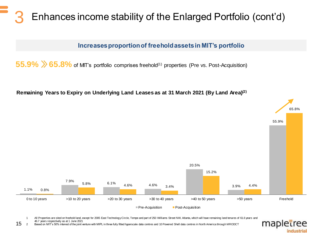# Enhances income stability of the Enlarged Portfolio (cont'd)

### **Increases proportion of freehold assets in MIT's portfolio**

55.9%  $\gg$  65.8% of MIT's portfolio comprises freehold<sup>(1)</sup> properties (Pre vs. Post-Acquisition)

**Remaining Years to Expiry on Underlying Land Leases as at 31 March 2021 (By Land Area)(2)**

![](_page_14_Figure_4.jpeg)

- 15 All Properties are sited on freehold land, except for 2005 East Technology Circle, Tempe and part of 250 Williams Street NW, Atlanta, which will have remaining land tenures of 61.6 years and 46.7 years respectively as at 1 June 2021
	- 2 Based on MIT's 50% interest of the joint venture with MIPL in three fully fitted hyperscale data centres and 10 Powered Shell data centres in North America through MRODCT

mapletree

industrial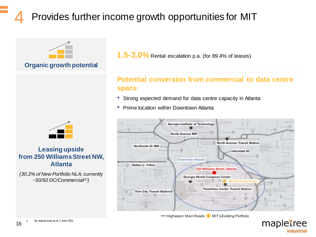# Provides further income growth opportunities for MIT

![](_page_15_Picture_1.jpeg)

### **Organic growth potential**

![](_page_15_Picture_3.jpeg)

### **Leasing upside from 250 Williams Street NW, Atlanta**

*(30.2% of New Portfolio NLA; currently ~50/50 DC/Commercial(1))*

**1.5-3.0%** Rental escalation p.a. (for 89.4% of leases)

### **Potential conversion from commercial to data centre space**

- Strong expected demand for data centre capacity in Atlanta
- Prime location within Downtown Atlanta

![](_page_15_Picture_10.jpeg)

Highways/ Main Roads MIT's Existing Portfolio

mapletree

industrial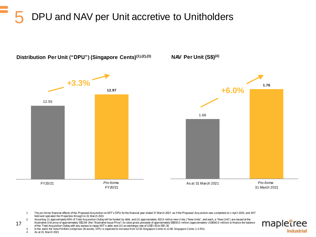# 5 DPU and NAV per Unit accretive to Unitholders

![](_page_16_Figure_1.jpeg)

1 The *pro forma* financial effects of the Proposed Acquisition on MIT's DPU for the financial year ended 31 March 2021, as if the Proposed Acq uisition was completed on 1 April 2020, and MIT held and operated the Properties through to 31 March 2021

2 Assuming (i) approximately 60% of Total Acquisition Outlay will be funded by debt; and (ii) approximately 302.8 million new Units ("New Units", and each, a "New Unit") are issued at the illustrative Unit price of approximately S\$2.64 (the "Illustrative Issue Price") to raise gross proceeds of approximately S\$800.0 million (approximately US\$592.6 million) to finance the balance of the Total Acquisition Outlay with any excess to repay MIT's debt; and (iii) an exchange rate of US\$1.00 to S\$1.35

![](_page_16_Picture_4.jpeg)

3 In the event the New Portfolio comprises 28 assets, DPU is expected to increase from 12.55 Singapore Cents to 12.86 Singapore Cents (+2.5%)

4 As at 31 March 2021

17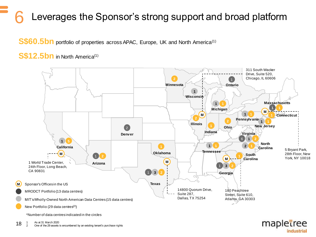# Leverages the Sponsor's strong support and broad platform

**S\$60.5bn** portfolio of properties across APAC, Europe, UK and North America<sup>(1)</sup>

### S\$12.5bn in North America<sup>(1)</sup>

![](_page_17_Figure_3.jpeg)

industrial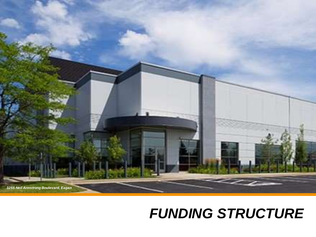![](_page_18_Picture_0.jpeg)

# *FUNDING STRUCTURE*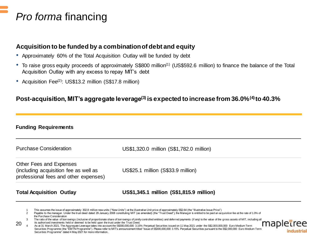### *Pro forma* financing

### **Acquisition to be funded by a combination of debt and equity**

- Approximately 60% of the Total Acquisition Outlay will be funded by debt
- To raise gross equity proceeds of approximately S\$800 million<sup>(1)</sup> (US\$592.6 million) to finance the balance of the Total Acquisition Outlay with any excess to repay MIT's debt
- Acquisition Fee<sup>(2)</sup>: US\$13.2 million (S\$17.8 million)

### **Post-acquisition, MIT's aggregate leverage(3) is expected to increase from 36.0%(4) to 40.3%**

#### **Funding Requirements**

| <b>Purchase Consideration</b>                                                                             | US\$1,320.0 million (S\$1,782.0 million) |
|-----------------------------------------------------------------------------------------------------------|------------------------------------------|
| Other Fees and Expenses<br>(including acquisition fee as well as<br>professional fees and other expenses) | US\$25.1 million (S\$33.9 million)       |
| <b>Total Acquisition Outlay</b>                                                                           | US\$1,345.1 million (S\$1,815.9 million) |

industria

- 1 This assumes the issue of approximately 302.8 million new units ("New Units") at the illustrative Unit price of approximately S\$2.64 (the "Illustrative Issue Price")
- Payable to the manager. Under the trust deed dated 29 January 2008 constituting MIT (as amended) (the "Trust Deed"), the Manager is entitled to be paid an acquisition fee at the rate of 1.0% of the Purchase Consideration
- The ratio of the value of borrowings (inclusive of proportionate share of borrowings of jointly controlled entities) and deferred payments (if any) to the value of the gross assets of MIT, including all its authorised investments held or deemed to be held upon the trust under the Trust Deed.

mar 20 As at 31 March 2021. The Aggregate Leverage takes into account the S\$300,000,000 3.15% Perpetual Securities issued on 11 May 2021 under the S\$2,000,000,000 Euro Medium Term Securities Programme (the "EMTN Programme"). Please refer to MIT's announcement titled "Issue of S\$300,000,000 3.15% Perpetual Securities pursuant to the S\$2,000,000 Euro Medium Term Securities Programme" dated 4 May 2021 for more information..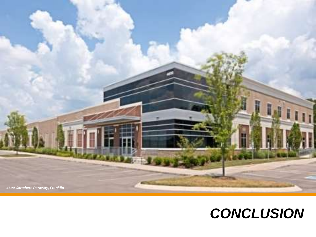![](_page_20_Picture_0.jpeg)

# *CONCLUSION*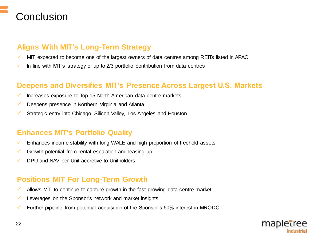![](_page_21_Picture_0.jpeg)

### **Aligns With MIT's Long-Term Strategy**

- $\checkmark$  MIT expected to become one of the largest owners of data centres among REITs listed in APAC
- $\checkmark$  In line with MIT's strategy of up to 2/3 portfolio contribution from data centres

### **Deepens and Diversifies MIT's Presence Across Largest U.S. Markets**

- $\checkmark$  Increases exposure to Top 15 North American data centre markets
- $\checkmark$  Deepens presence in Northern Virginia and Atlanta
- $\checkmark$  Strategic entry into Chicago, Silicon Valley, Los Angeles and Houston

### **Enhances MIT's Portfolio Quality**

- $\checkmark$  Enhances income stability with long WALE and high proportion of freehold assets
- $\checkmark$  Growth potential from rental escalation and leasing up
- $\checkmark$  DPU and NAV per Unit accretive to Unitholders

### **Positions MIT For Long-Term Growth**

- $\checkmark$  Allows MIT to continue to capture growth in the fast-growing data centre market
- $\checkmark$  Leverages on the Sponsor's network and market insights
- $\checkmark$  Further pipeline from potential acquisition of the Sponsor's 50% interest in MRODCT

![](_page_21_Picture_16.jpeg)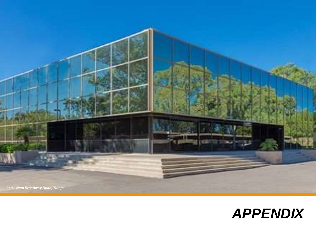![](_page_22_Picture_0.jpeg)

![](_page_22_Picture_1.jpeg)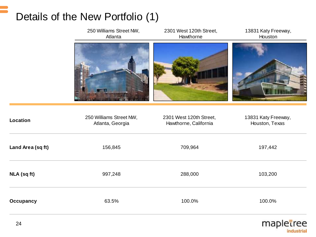# Details of the New Portfolio (1)

|                   | 250 Williams Street NW,<br>Atlanta          | 2301 West 120th Street,<br>Hawthorne             | 13831 Katy Freeway,<br>Houston        |
|-------------------|---------------------------------------------|--------------------------------------------------|---------------------------------------|
|                   |                                             |                                                  |                                       |
| Location          | 250 Williams Street NW,<br>Atlanta, Georgia | 2301 West 120th Street,<br>Hawthorne, California | 13831 Katy Freeway,<br>Houston, Texas |
| Land Area (sq ft) | 156,845                                     | 709,964                                          | 197,442                               |
| NLA (sq ft)       | 997,248                                     | 288,000                                          | 103,200                               |
| <b>Occupancy</b>  | 63.5%                                       | 100.0%                                           | 100.0%                                |

![](_page_23_Picture_2.jpeg)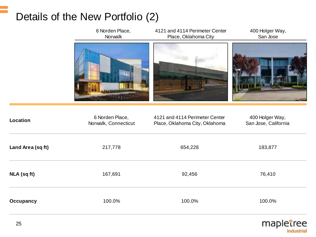# Details of the New Portfolio (2)

![](_page_24_Picture_1.jpeg)

| Location          | 6 Norden Place,<br>Norwalk, Connecticut | 4121 and 4114 Perimeter Center<br>Place, Oklahoma City, Oklahoma | 400 Holger Way,<br>San Jose, California |
|-------------------|-----------------------------------------|------------------------------------------------------------------|-----------------------------------------|
| Land Area (sq ft) | 217,778                                 | 654,228                                                          | 183,877                                 |
| NLA (sq ft)       | 167,691                                 | 92,456                                                           | 76,410                                  |
| Occupancy         | 100.0%                                  | 100.0%                                                           | 100.0%                                  |

![](_page_24_Picture_3.jpeg)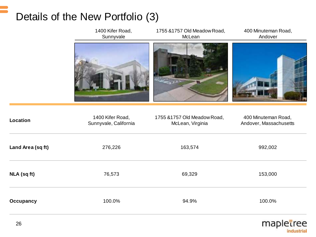# Details of the New Portfolio (3)

![](_page_25_Picture_1.jpeg)

![](_page_25_Picture_2.jpeg)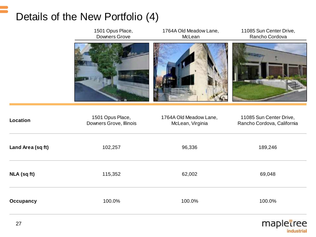### Details of the New Portfolio (4)

|                   | 1501 Opus Place,<br>Downers Grove           | 1764A Old Meadow Lane,<br>McLean           | 11085 Sun Center Drive,<br>Rancho Cordova             |
|-------------------|---------------------------------------------|--------------------------------------------|-------------------------------------------------------|
|                   |                                             |                                            |                                                       |
| <b>Location</b>   | 1501 Opus Place,<br>Downers Grove, Illinois | 1764A Old Meadow Lane,<br>McLean, Virginia | 11085 Sun Center Drive,<br>Rancho Cordova, California |
| Land Area (sq ft) | 102,257                                     | 96,336                                     | 189,246                                               |
| NLA (sq ft)       | 115,352                                     | 62,002                                     | 69,048                                                |
| <b>Occupancy</b>  | 100.0%                                      | 100.0%                                     | 100.0%                                                |

![](_page_26_Picture_2.jpeg)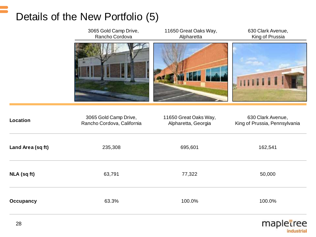# Details of the New Portfolio (5)

|                   | 3065 Gold Camp Drive,<br>Rancho Cordova             | 11650 Great Oaks Way,<br>Alpharetta          | 630 Clark Avenue,<br>King of Prussia               |
|-------------------|-----------------------------------------------------|----------------------------------------------|----------------------------------------------------|
|                   |                                                     |                                              | THE.                                               |
| <b>Location</b>   | 3065 Gold Camp Drive,<br>Rancho Cordova, California | 11650 Great Oaks Way,<br>Alpharetta, Georgia | 630 Clark Avenue,<br>King of Prussia, Pennsylvania |
| Land Area (sq ft) | 235,308                                             | 695,601                                      | 162,541                                            |
| NLA (sq ft)       | 63,791                                              | 77,322                                       | 50,000                                             |
| <b>Occupancy</b>  | 63.3%                                               | 100.0%                                       | 100.0%                                             |
|                   |                                                     |                                              |                                                    |

![](_page_27_Picture_2.jpeg)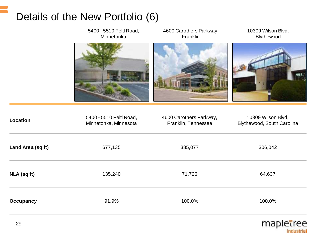# Details of the New Portfolio (6)

|                   | 5400 - 5510 Feltl Road,<br>Minnetonka            | 4600 Carothers Parkway,<br>Franklin            | 10309 Wilson Blvd,<br>Blythewood                 |
|-------------------|--------------------------------------------------|------------------------------------------------|--------------------------------------------------|
|                   |                                                  |                                                |                                                  |
| Location          | 5400 - 5510 Feltl Road,<br>Minnetonka, Minnesota | 4600 Carothers Parkway,<br>Franklin, Tennessee | 10309 Wilson Blvd,<br>Blythewood, South Carolina |
| Land Area (sq ft) | 677,135                                          | 385,077                                        | 306,042                                          |
| NLA (sq ft)       | 135,240                                          | 71,726                                         | 64,637                                           |
| <b>Occupancy</b>  | 91.9%                                            | 100.0%                                         | 100.0%                                           |

![](_page_28_Picture_2.jpeg)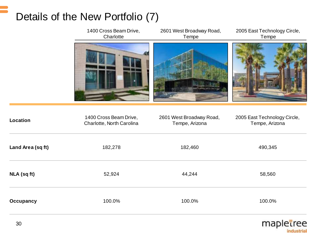# Details of the New Portfolio (7)

|                   | 1400 Cross Beam Drive,<br>Charlotte                 | 2601 West Broadway Road,<br>Tempe          | 2005 East Technology Circle,<br>Tempe          |
|-------------------|-----------------------------------------------------|--------------------------------------------|------------------------------------------------|
|                   |                                                     |                                            |                                                |
| <b>Location</b>   | 1400 Cross Beam Drive,<br>Charlotte, North Carolina | 2601 West Broadway Road,<br>Tempe, Arizona | 2005 East Technology Circle,<br>Tempe, Arizona |
| Land Area (sq ft) | 182,278                                             | 182,460                                    | 490,345                                        |
| NLA (sq ft)       | 52,924                                              | 44,244                                     | 58,560                                         |
| <b>Occupancy</b>  | 100.0%                                              | 100.0%                                     | 100.0%                                         |
|                   |                                                     |                                            |                                                |

![](_page_29_Picture_2.jpeg)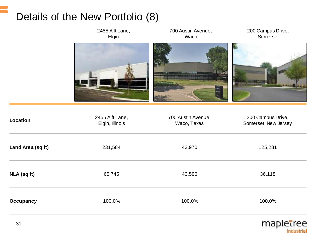# Details of the New Portfolio (8)

![](_page_30_Figure_1.jpeg)

![](_page_30_Picture_2.jpeg)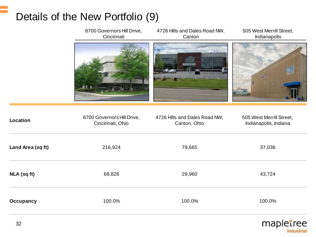# Details of the New Portfolio (9)

|                   | 8700 Governors Hill Drive,<br>Cincinnati       | 4726 Hills and Dales Road NW,<br>Canton       | 505 West Merrill Street,<br>Indianapolis          |
|-------------------|------------------------------------------------|-----------------------------------------------|---------------------------------------------------|
|                   |                                                |                                               |                                                   |
| Location          | 8700 Governors Hill Drive,<br>Cincinnati, Ohio | 4726 Hills and Dales Road NW,<br>Canton, Ohio | 505 West Merrill Street,<br>Indianapolis, Indiana |
| Land Area (sq ft) | 216,924                                        | 79,665                                        | 37,036                                            |
| NLA (sq ft)       | 69,826                                         | 29,960                                        | 43,724                                            |
| <b>Occupancy</b>  | 100.0%                                         | 100.0%                                        | 100.0%                                            |
|                   |                                                |                                               |                                                   |

![](_page_31_Picture_2.jpeg)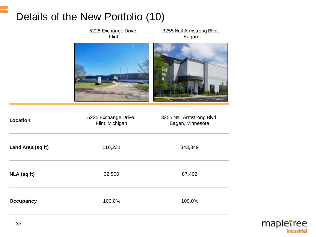# Details of the New Portfolio (10)

|                   | 5225 Exchange Drive,<br>Flint           | 3255 Neil Armstrong Blvd,<br>Eagan            |  |
|-------------------|-----------------------------------------|-----------------------------------------------|--|
|                   |                                         |                                               |  |
| <b>Location</b>   | 5225 Exchange Drive,<br>Flint, Michigan | 3255 Neil Armstrong Blvd,<br>Eagan, Minnesota |  |
| Land Area (sq ft) | 110,231                                 | 343,349                                       |  |
| NLA (sq ft)       | 32,500                                  | 87,402                                        |  |
| <b>Occupancy</b>  | 100.0%                                  | 100.0%                                        |  |

![](_page_32_Picture_2.jpeg)